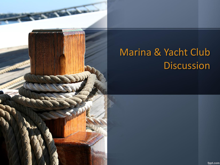

# Marina & Yacht Club **Discussion**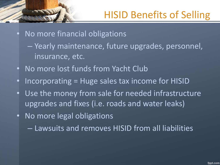- No more financial obligations
	- Yearly maintenance, future upgrades, personnel, insurance, etc.
- No more lost funds from Yacht Club
- Incorporating = Huge sales tax income for HISID
- Use the money from sale for needed infrastructure upgrades and fixes (i.e. roads and water leaks)
- No more legal obligations
	- Lawsuits and removes HISID from all liabilities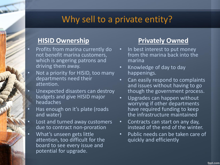#### Why sell to a private entity?

#### **HISID Ownership**

- Profits from marina currently do not benefit marina customers, which is angering patrons and driving them away.
- Not a priority for HISID, too many departments need their attention.
- Unexpected disasters can destroy budgets and give HISID major headaches
- Has enough on it's plate (roads and water)
- Lost and turned away customers due to contract non-proration
- What's unseen gets little attention, too difficult for the board to see every issue and potential for upgrade.

#### **Privately Owned**

- In best interest to put money from the marina back into the marina
- Knowledge of day to day happenings.
- Can easily respond to complaints and issues without having to go though the government process.
- Upgrades can happen without worrying if other departments have required funding to keep the infrastructure maintained
- Contracts can start on any day, instead of the end of the winter.
- Public needs can be taken care of quickly and efficiently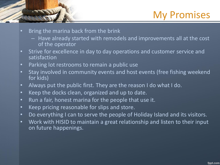### My Promises

- Bring the marina back from the brink
	- Have already started with remodels and improvements all at the cost of the operator
- Strive for excellence in day to day operations and customer service and satisfaction
- Parking lot restrooms to remain a public use
- Stay involved in community events and host events (free fishing weekend for kids)
- Always put the public first. They are the reason I do what I do.
- Keep the docks clean, organized and up to date.
- Run a fair, honest marina for the people that use it.
- Keep pricing reasonable for slips and store.
- Do everything I can to serve the people of Holiday Island and its visitors.
- Work with HISID to maintain a great relationship and listen to their input on future happenings.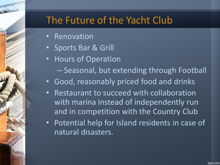## The Future of the Yacht Club

- Renovation
- Sports Bar & Grill
- Hours of Operation
	- Seasonal, but extending through Football
- Good, reasonably priced food and drinks
- Restaurant to succeed with collaboration with marina instead of independently run and in competition with the Country Club
- Potential help for Island residents in case of natural disasters.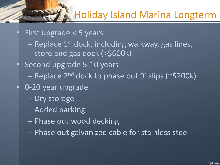### Holiday Island Marina Longterm

• First upgrade < 5 years

- $-$  Replace 1<sup>st</sup> dock, including walkway, gas lines, store and gas dock (>\$600k)
- Second upgrade 5-10 years
	- Replace 2<sup>nd</sup> dock to phase out 9' slips (~\$200k)
- 0-20 year upgrade
	- Dry storage
	- Added parking
	- Phase out wood decking
	- Phase out galvanized cable for stainless steel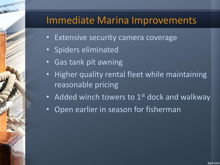#### Immediate Marina Improvements

- **Extensive security camera coverage**
- Spiders eliminated
- **Gas tank pit awning**
- Higher quality rental fleet while maintaining reasonable pricing
- Added winch towers to  $1<sup>st</sup>$  dock and walkway
- Open earlier in season for fisherman